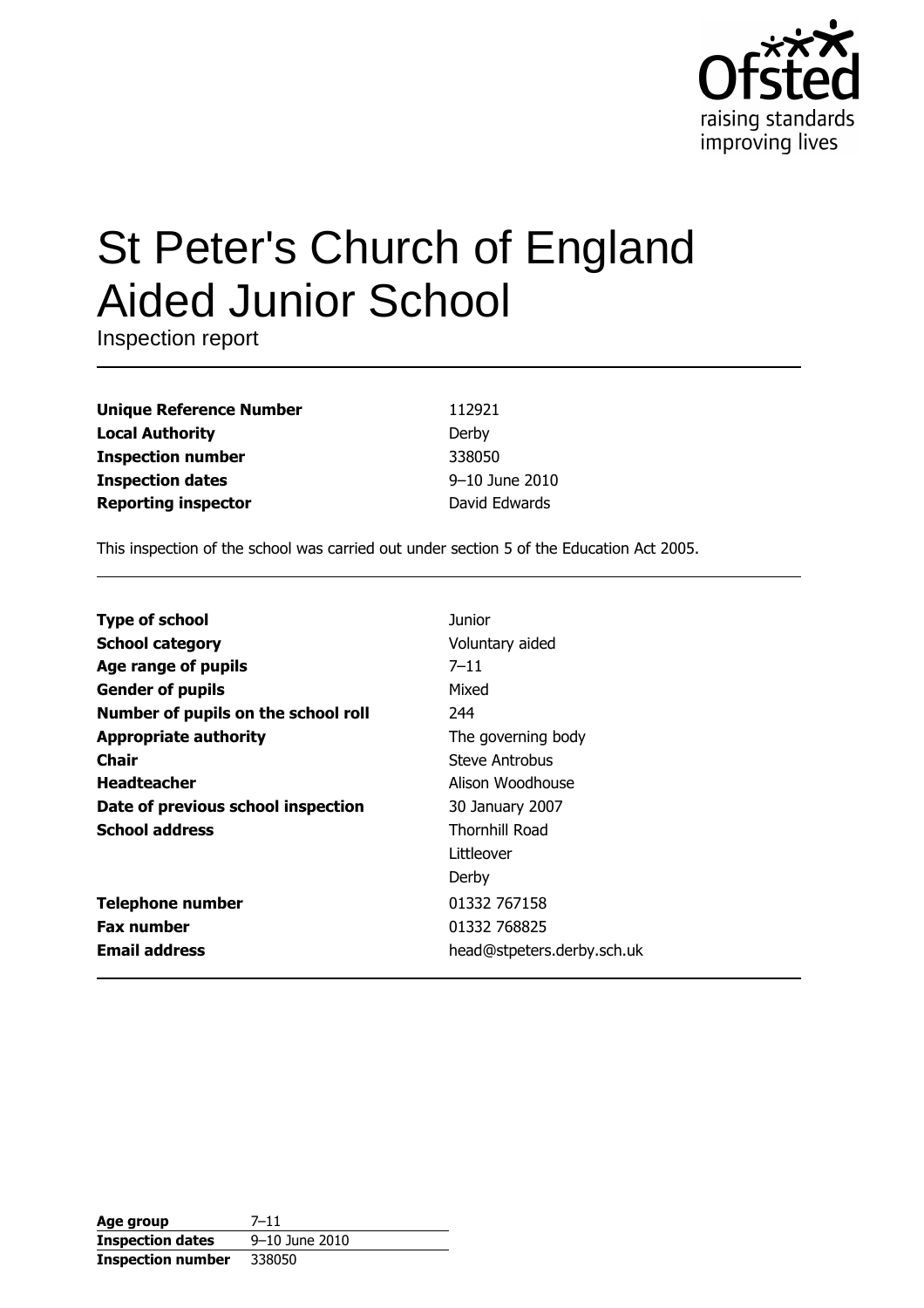

# **St Peter's Church of England Aided Junior School**

Inspection report

| <b>Unique Reference Number</b> |
|--------------------------------|
| <b>Local Authority</b>         |
| <b>Inspection number</b>       |
| <b>Inspection dates</b>        |
| <b>Reporting inspector</b>     |

112921 Derby 338050 9-10 June 2010 David Edwards

This inspection of the school was carried out under section 5 of the Education Act 2005.

| <b>Type of school</b>               | Junior                     |
|-------------------------------------|----------------------------|
| <b>School category</b>              | Voluntary aided            |
| Age range of pupils                 | $7 - 11$                   |
| <b>Gender of pupils</b>             | Mixed                      |
| Number of pupils on the school roll | 244                        |
| <b>Appropriate authority</b>        | The governing body         |
| <b>Chair</b>                        | Steve Antrobus             |
| <b>Headteacher</b>                  | Alison Woodhouse           |
| Date of previous school inspection  | 30 January 2007            |
| <b>School address</b>               | <b>Thornhill Road</b>      |
|                                     | Littleover                 |
|                                     | Derby                      |
| <b>Telephone number</b>             | 01332 767158               |
| <b>Fax number</b>                   | 01332 768825               |
| <b>Email address</b>                | head@stpeters.derby.sch.uk |

| Age group                | $7 - 11$       |
|--------------------------|----------------|
| <b>Inspection dates</b>  | 9-10 June 2010 |
| <b>Inspection number</b> | 338050         |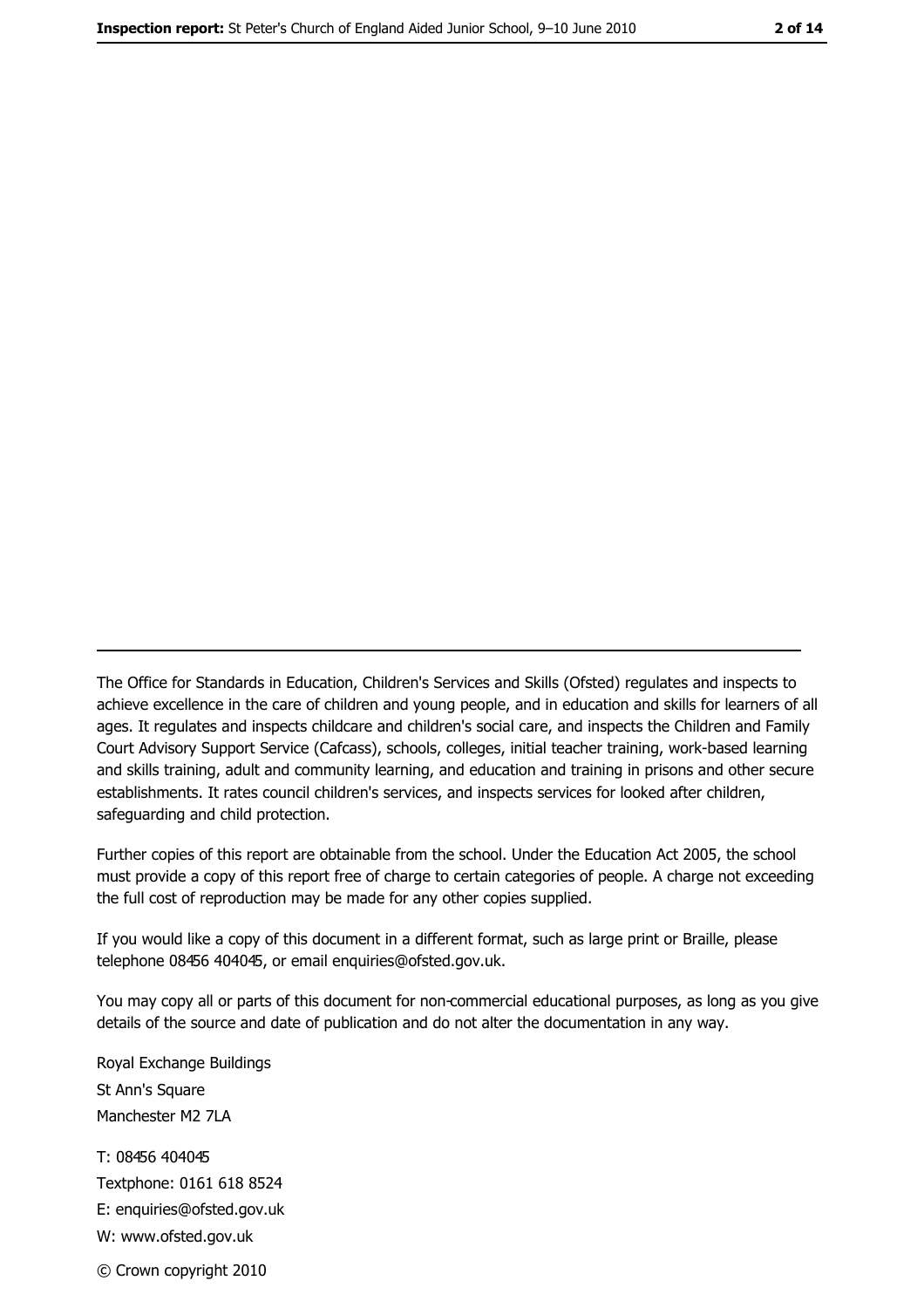The Office for Standards in Education, Children's Services and Skills (Ofsted) regulates and inspects to achieve excellence in the care of children and young people, and in education and skills for learners of all ages. It regulates and inspects childcare and children's social care, and inspects the Children and Family Court Advisory Support Service (Cafcass), schools, colleges, initial teacher training, work-based learning and skills training, adult and community learning, and education and training in prisons and other secure establishments. It rates council children's services, and inspects services for looked after children, safequarding and child protection.

Further copies of this report are obtainable from the school. Under the Education Act 2005, the school must provide a copy of this report free of charge to certain categories of people. A charge not exceeding the full cost of reproduction may be made for any other copies supplied.

If you would like a copy of this document in a different format, such as large print or Braille, please telephone 08456 404045, or email enquiries@ofsted.gov.uk.

You may copy all or parts of this document for non-commercial educational purposes, as long as you give details of the source and date of publication and do not alter the documentation in any way.

Royal Exchange Buildings St Ann's Square Manchester M2 7LA T: 08456 404045 Textphone: 0161 618 8524 E: enquiries@ofsted.gov.uk W: www.ofsted.gov.uk © Crown copyright 2010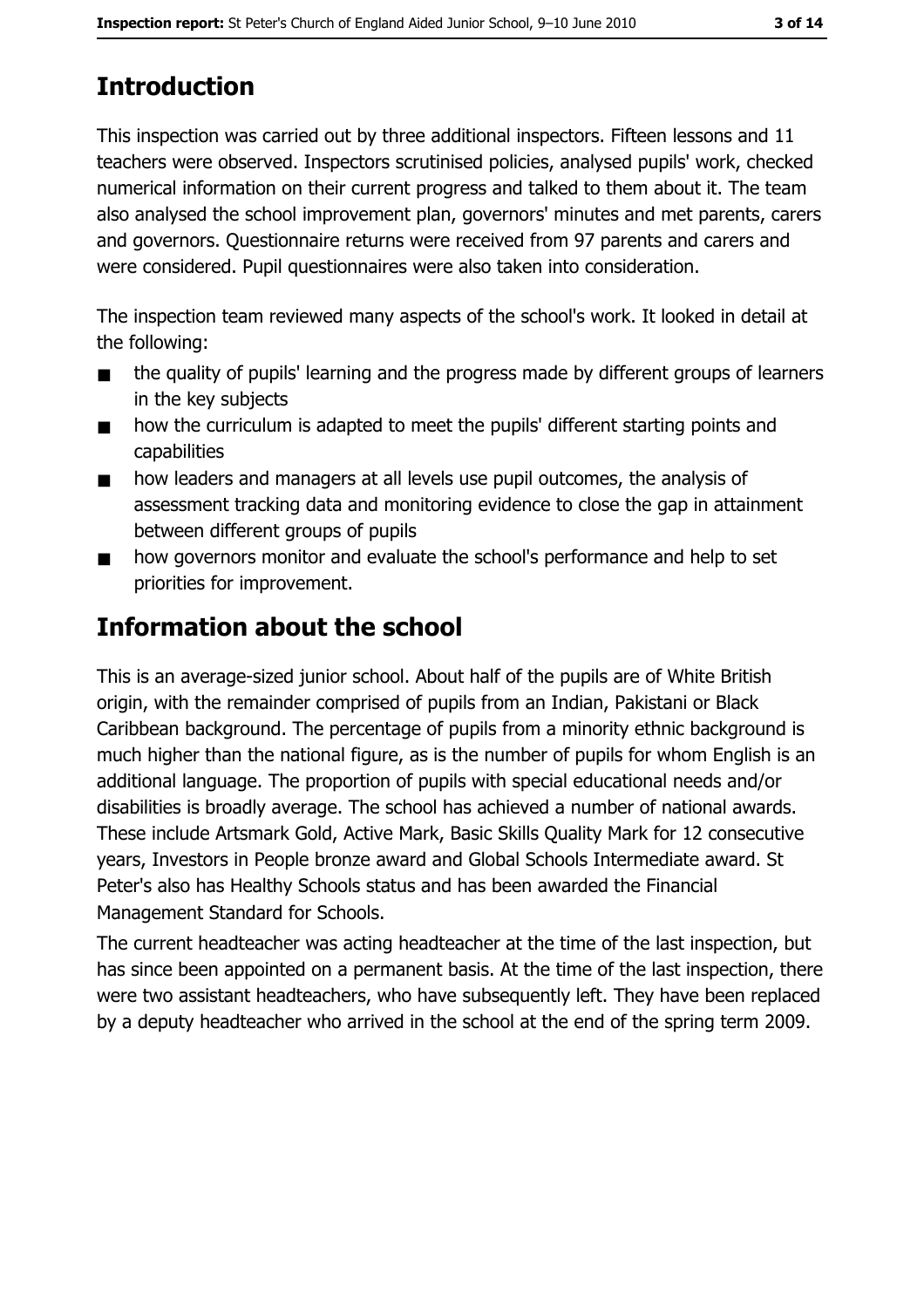# **Introduction**

This inspection was carried out by three additional inspectors. Fifteen lessons and 11 teachers were observed. Inspectors scrutinised policies, analysed pupils' work, checked numerical information on their current progress and talked to them about it. The team also analysed the school improvement plan, governors' minutes and met parents, carers and governors. Questionnaire returns were received from 97 parents and carers and were considered. Pupil questionnaires were also taken into consideration.

The inspection team reviewed many aspects of the school's work. It looked in detail at the following:

- the quality of pupils' learning and the progress made by different groups of learners  $\blacksquare$ in the key subjects
- how the curriculum is adapted to meet the pupils' different starting points and  $\blacksquare$ capabilities
- how leaders and managers at all levels use pupil outcomes, the analysis of  $\blacksquare$ assessment tracking data and monitoring evidence to close the gap in attainment between different groups of pupils
- how governors monitor and evaluate the school's performance and help to set  $\blacksquare$ priorities for improvement.

# **Information about the school**

This is an average-sized junior school. About half of the pupils are of White British origin, with the remainder comprised of pupils from an Indian, Pakistani or Black Caribbean background. The percentage of pupils from a minority ethnic background is much higher than the national figure, as is the number of pupils for whom English is an additional language. The proportion of pupils with special educational needs and/or disabilities is broadly average. The school has achieved a number of national awards. These include Artsmark Gold, Active Mark, Basic Skills Quality Mark for 12 consecutive years, Investors in People bronze award and Global Schools Intermediate award. St Peter's also has Healthy Schools status and has been awarded the Financial Management Standard for Schools.

The current headteacher was acting headteacher at the time of the last inspection, but has since been appointed on a permanent basis. At the time of the last inspection, there were two assistant headteachers, who have subsequently left. They have been replaced by a deputy headteacher who arrived in the school at the end of the spring term 2009.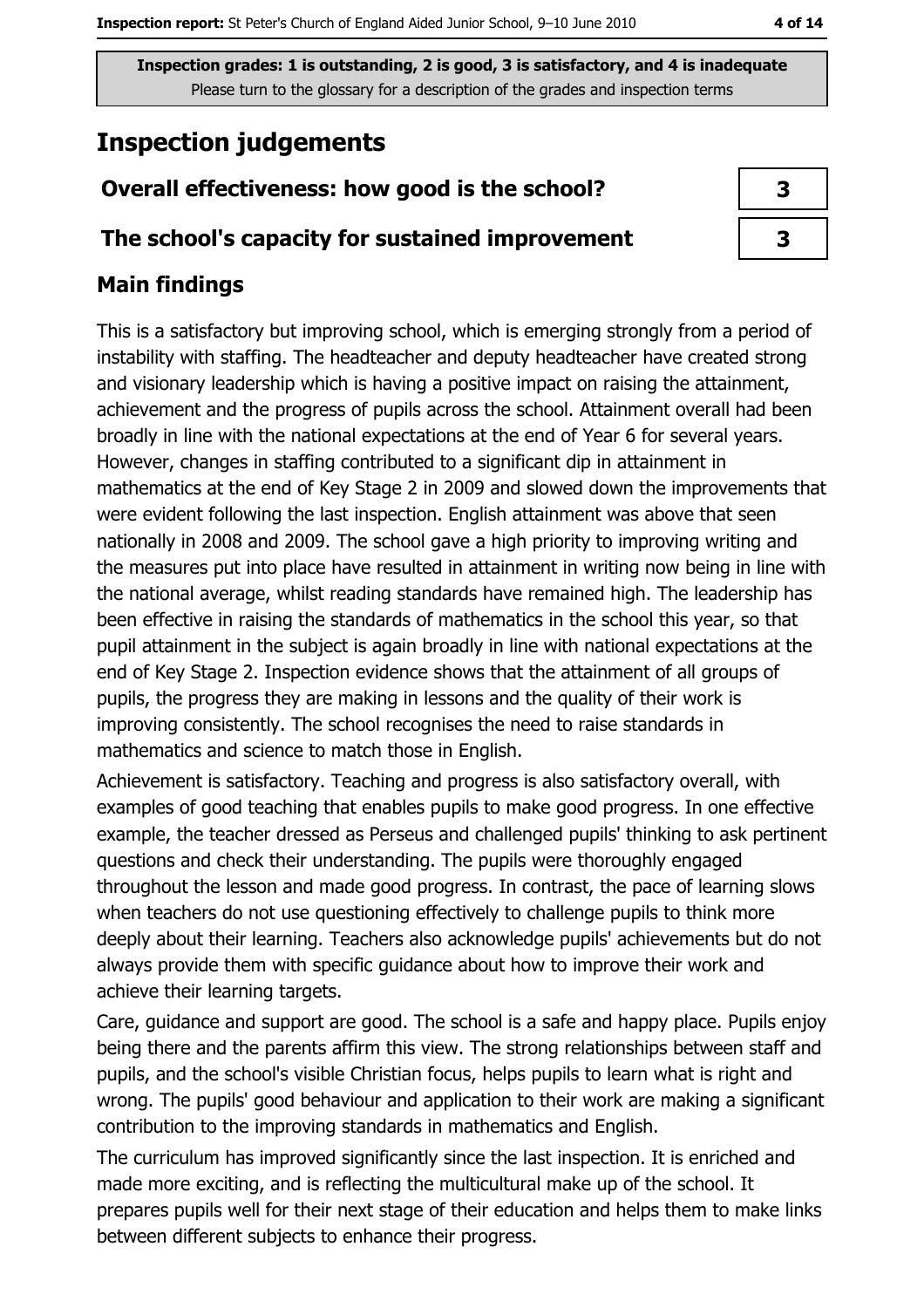Inspection grades: 1 is outstanding, 2 is good, 3 is satisfactory, and 4 is inadequate Please turn to the glossary for a description of the grades and inspection terms

# **Inspection judgements**

## Overall effectiveness: how good is the school?

### The school's capacity for sustained improvement

## **Main findings**

This is a satisfactory but improving school, which is emerging strongly from a period of instability with staffing. The headteacher and deputy headteacher have created strong and visionary leadership which is having a positive impact on raising the attainment, achievement and the progress of pupils across the school. Attainment overall had been broadly in line with the national expectations at the end of Year 6 for several years. However, changes in staffing contributed to a significant dip in attainment in mathematics at the end of Key Stage 2 in 2009 and slowed down the improvements that were evident following the last inspection. English attainment was above that seen nationally in 2008 and 2009. The school gave a high priority to improving writing and the measures put into place have resulted in attainment in writing now being in line with the national average, whilst reading standards have remained high. The leadership has been effective in raising the standards of mathematics in the school this year, so that pupil attainment in the subject is again broadly in line with national expectations at the end of Key Stage 2. Inspection evidence shows that the attainment of all groups of pupils, the progress they are making in lessons and the quality of their work is improving consistently. The school recognises the need to raise standards in mathematics and science to match those in English.

Achievement is satisfactory. Teaching and progress is also satisfactory overall, with examples of good teaching that enables pupils to make good progress. In one effective example, the teacher dressed as Perseus and challenged pupils' thinking to ask pertinent questions and check their understanding. The pupils were thoroughly engaged throughout the lesson and made good progress. In contrast, the pace of learning slows when teachers do not use questioning effectively to challenge pupils to think more deeply about their learning. Teachers also acknowledge pupils' achievements but do not always provide them with specific guidance about how to improve their work and achieve their learning targets.

Care, guidance and support are good. The school is a safe and happy place. Pupils enjoy being there and the parents affirm this view. The strong relationships between staff and pupils, and the school's visible Christian focus, helps pupils to learn what is right and wrong. The pupils' good behaviour and application to their work are making a significant contribution to the improving standards in mathematics and English.

The curriculum has improved significantly since the last inspection. It is enriched and made more exciting, and is reflecting the multicultural make up of the school. It prepares pupils well for their next stage of their education and helps them to make links between different subjects to enhance their progress.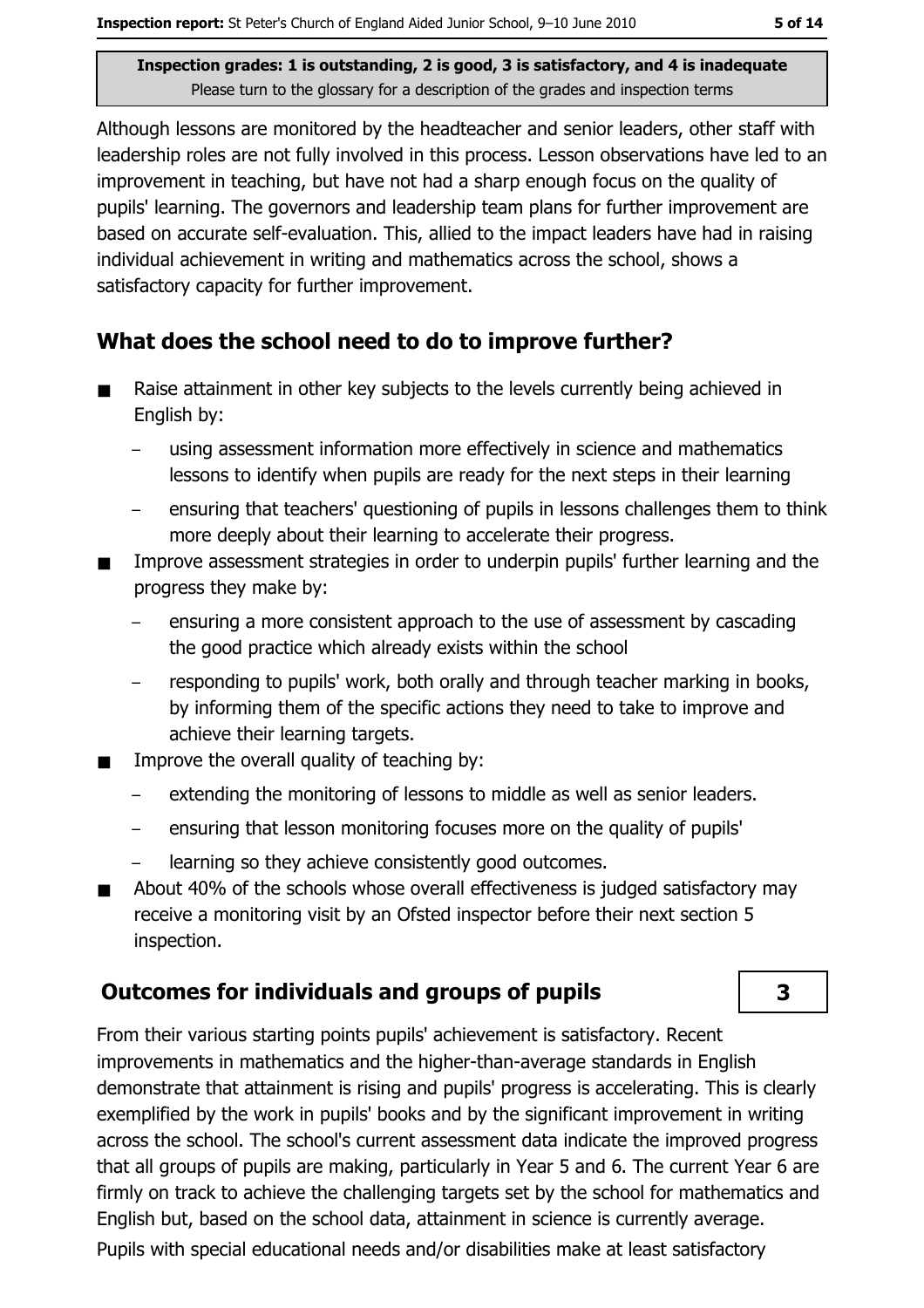3

Inspection grades: 1 is outstanding, 2 is good, 3 is satisfactory, and 4 is inadequate Please turn to the glossary for a description of the grades and inspection terms

Although lessons are monitored by the headteacher and senior leaders, other staff with leadership roles are not fully involved in this process. Lesson observations have led to an improvement in teaching, but have not had a sharp enough focus on the quality of pupils' learning. The governors and leadership team plans for further improvement are based on accurate self-evaluation. This, allied to the impact leaders have had in raising individual achievement in writing and mathematics across the school, shows a satisfactory capacity for further improvement.

## What does the school need to do to improve further?

- Raise attainment in other key subjects to the levels currently being achieved in  $\blacksquare$ English by:
	- using assessment information more effectively in science and mathematics lessons to identify when pupils are ready for the next steps in their learning
	- ensuring that teachers' questioning of pupils in lessons challenges them to think more deeply about their learning to accelerate their progress.
- Improve assessment strategies in order to underpin pupils' further learning and the progress they make by:
	- ensuring a more consistent approach to the use of assessment by cascading the good practice which already exists within the school
	- responding to pupils' work, both orally and through teacher marking in books, by informing them of the specific actions they need to take to improve and achieve their learning targets.
- Improve the overall quality of teaching by:  $\blacksquare$ 
	- extending the monitoring of lessons to middle as well as senior leaders.
	- ensuring that lesson monitoring focuses more on the quality of pupils'  $-$
	- learning so they achieve consistently good outcomes.
- About 40% of the schools whose overall effectiveness is judged satisfactory may  $\blacksquare$ receive a monitoring visit by an Ofsted inspector before their next section 5 inspection.

## **Outcomes for individuals and groups of pupils**

From their various starting points pupils' achievement is satisfactory. Recent improvements in mathematics and the higher-than-average standards in English demonstrate that attainment is rising and pupils' progress is accelerating. This is clearly exemplified by the work in pupils' books and by the significant improvement in writing across the school. The school's current assessment data indicate the improved progress that all groups of pupils are making, particularly in Year 5 and 6. The current Year 6 are firmly on track to achieve the challenging targets set by the school for mathematics and English but, based on the school data, attainment in science is currently average.

Pupils with special educational needs and/or disabilities make at least satisfactory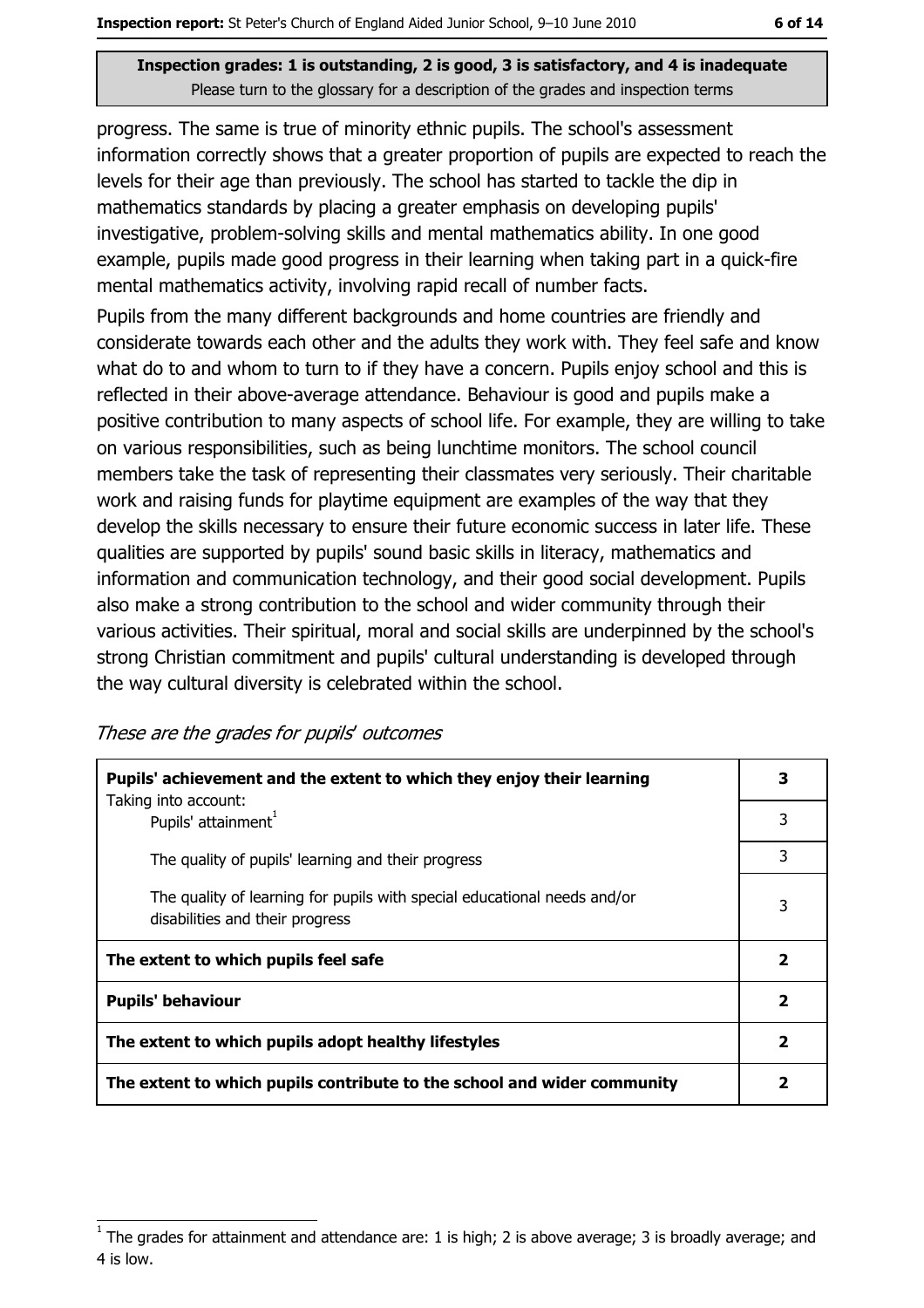#### Inspection grades: 1 is outstanding, 2 is good, 3 is satisfactory, and 4 is inadequate Please turn to the glossary for a description of the grades and inspection terms

progress. The same is true of minority ethnic pupils. The school's assessment information correctly shows that a greater proportion of pupils are expected to reach the levels for their age than previously. The school has started to tackle the dip in mathematics standards by placing a greater emphasis on developing pupils' investigative, problem-solving skills and mental mathematics ability. In one good example, pupils made good progress in their learning when taking part in a quick-fire mental mathematics activity, involving rapid recall of number facts.

Pupils from the many different backgrounds and home countries are friendly and considerate towards each other and the adults they work with. They feel safe and know what do to and whom to turn to if they have a concern. Pupils enjoy school and this is reflected in their above-average attendance. Behaviour is good and pupils make a positive contribution to many aspects of school life. For example, they are willing to take on various responsibilities, such as being lunchtime monitors. The school council members take the task of representing their classmates very seriously. Their charitable work and raising funds for playtime equipment are examples of the way that they develop the skills necessary to ensure their future economic success in later life. These qualities are supported by pupils' sound basic skills in literacy, mathematics and information and communication technology, and their good social development. Pupils also make a strong contribution to the school and wider community through their various activities. Their spiritual, moral and social skills are underpinned by the school's strong Christian commitment and pupils' cultural understanding is developed through the way cultural diversity is celebrated within the school.

These are the grades for pupils' outcomes

| Pupils' achievement and the extent to which they enjoy their learning                                       |                         |
|-------------------------------------------------------------------------------------------------------------|-------------------------|
| Taking into account:<br>Pupils' attainment <sup>1</sup>                                                     | 3                       |
| The quality of pupils' learning and their progress                                                          | 3                       |
| The quality of learning for pupils with special educational needs and/or<br>disabilities and their progress | 3                       |
| The extent to which pupils feel safe                                                                        | 2                       |
| <b>Pupils' behaviour</b>                                                                                    | $\overline{\mathbf{2}}$ |
| The extent to which pupils adopt healthy lifestyles                                                         | $\mathbf{2}$            |
| The extent to which pupils contribute to the school and wider community                                     |                         |

The grades for attainment and attendance are: 1 is high; 2 is above average; 3 is broadly average; and 4 is low.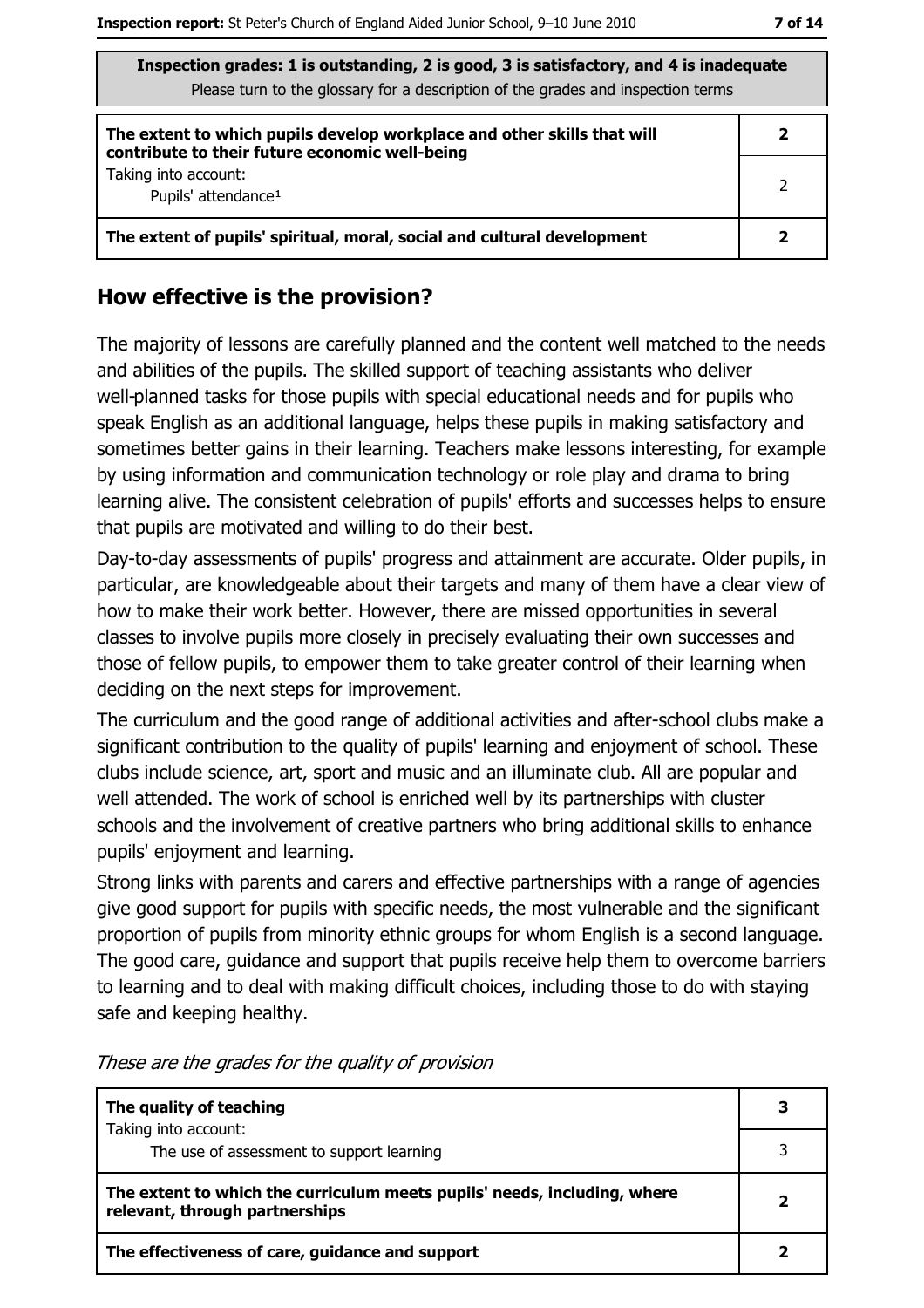| Inspection grades: 1 is outstanding, 2 is good, 3 is satisfactory, and 4 is inadequate<br>Please turn to the glossary for a description of the grades and inspection terms |   |  |
|----------------------------------------------------------------------------------------------------------------------------------------------------------------------------|---|--|
| The extent to which pupils develop workplace and other skills that will<br>contribute to their future economic well-being                                                  | 2 |  |
| Taking into account:<br>Pupils' attendance <sup>1</sup>                                                                                                                    | 2 |  |
| The extent of pupils' spiritual, moral, social and cultural development                                                                                                    |   |  |

### How effective is the provision?

The majority of lessons are carefully planned and the content well matched to the needs and abilities of the pupils. The skilled support of teaching assistants who deliver well-planned tasks for those pupils with special educational needs and for pupils who speak English as an additional language, helps these pupils in making satisfactory and sometimes better gains in their learning. Teachers make lessons interesting, for example by using information and communication technology or role play and drama to bring learning alive. The consistent celebration of pupils' efforts and successes helps to ensure that pupils are motivated and willing to do their best.

Day-to-day assessments of pupils' progress and attainment are accurate. Older pupils, in particular, are knowledgeable about their targets and many of them have a clear view of how to make their work better. However, there are missed opportunities in several classes to involve pupils more closely in precisely evaluating their own successes and those of fellow pupils, to empower them to take greater control of their learning when deciding on the next steps for improvement.

The curriculum and the good range of additional activities and after-school clubs make a significant contribution to the quality of pupils' learning and enjoyment of school. These clubs include science, art, sport and music and an illuminate club. All are popular and well attended. The work of school is enriched well by its partnerships with cluster schools and the involvement of creative partners who bring additional skills to enhance pupils' enjoyment and learning.

Strong links with parents and carers and effective partnerships with a range of agencies give good support for pupils with specific needs, the most vulnerable and the significant proportion of pupils from minority ethnic groups for whom English is a second language. The good care, guidance and support that pupils receive help them to overcome barriers to learning and to deal with making difficult choices, including those to do with staying safe and keeping healthy.

| The quality of teaching                                                                                    |  |
|------------------------------------------------------------------------------------------------------------|--|
| Taking into account:<br>The use of assessment to support learning                                          |  |
| The extent to which the curriculum meets pupils' needs, including, where<br>relevant, through partnerships |  |
| The effectiveness of care, guidance and support                                                            |  |

These are the grades for the quality of provision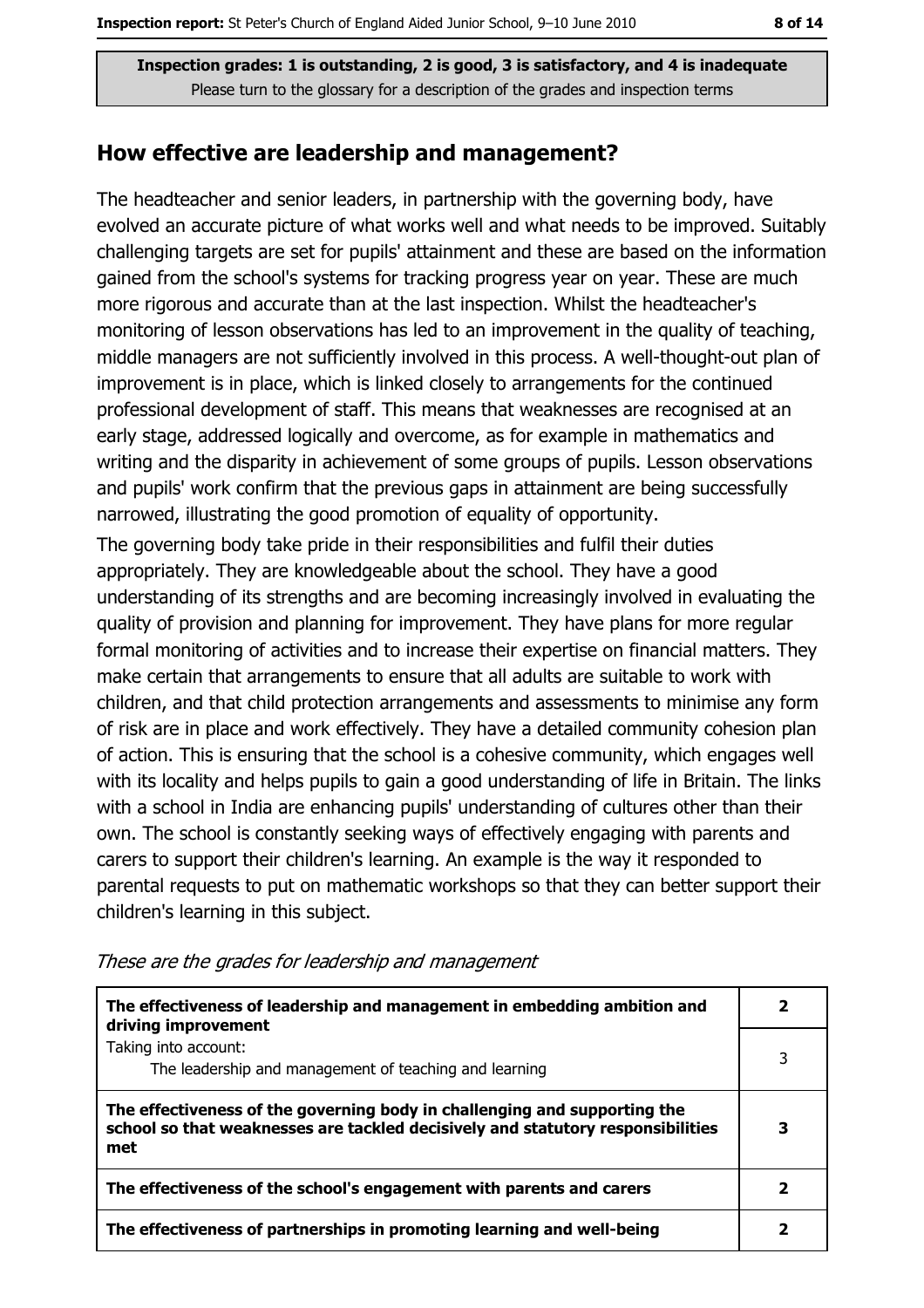Inspection grades: 1 is outstanding, 2 is good, 3 is satisfactory, and 4 is inadequate Please turn to the glossary for a description of the grades and inspection terms

#### How effective are leadership and management?

The headteacher and senior leaders, in partnership with the governing body, have evolved an accurate picture of what works well and what needs to be improved. Suitably challenging targets are set for pupils' attainment and these are based on the information gained from the school's systems for tracking progress year on year. These are much more rigorous and accurate than at the last inspection. Whilst the headteacher's monitoring of lesson observations has led to an improvement in the quality of teaching, middle managers are not sufficiently involved in this process. A well-thought-out plan of improvement is in place, which is linked closely to arrangements for the continued professional development of staff. This means that weaknesses are recognised at an early stage, addressed logically and overcome, as for example in mathematics and writing and the disparity in achievement of some groups of pupils. Lesson observations and pupils' work confirm that the previous gaps in attainment are being successfully narrowed, illustrating the good promotion of equality of opportunity.

The governing body take pride in their responsibilities and fulfil their duties appropriately. They are knowledgeable about the school. They have a good understanding of its strengths and are becoming increasingly involved in evaluating the quality of provision and planning for improvement. They have plans for more regular formal monitoring of activities and to increase their expertise on financial matters. They make certain that arrangements to ensure that all adults are suitable to work with children, and that child protection arrangements and assessments to minimise any form of risk are in place and work effectively. They have a detailed community cohesion plan of action. This is ensuring that the school is a cohesive community, which engages well with its locality and helps pupils to gain a good understanding of life in Britain. The links with a school in India are enhancing pupils' understanding of cultures other than their own. The school is constantly seeking ways of effectively engaging with parents and carers to support their children's learning. An example is the way it responded to parental requests to put on mathematic workshops so that they can better support their children's learning in this subject.

| The effectiveness of leadership and management in embedding ambition and<br>driving improvement                                                                     |   |
|---------------------------------------------------------------------------------------------------------------------------------------------------------------------|---|
| Taking into account:<br>The leadership and management of teaching and learning                                                                                      | 3 |
| The effectiveness of the governing body in challenging and supporting the<br>school so that weaknesses are tackled decisively and statutory responsibilities<br>met |   |
| The effectiveness of the school's engagement with parents and carers                                                                                                |   |
| The effectiveness of partnerships in promoting learning and well-being                                                                                              |   |

These are the grades for leadership and management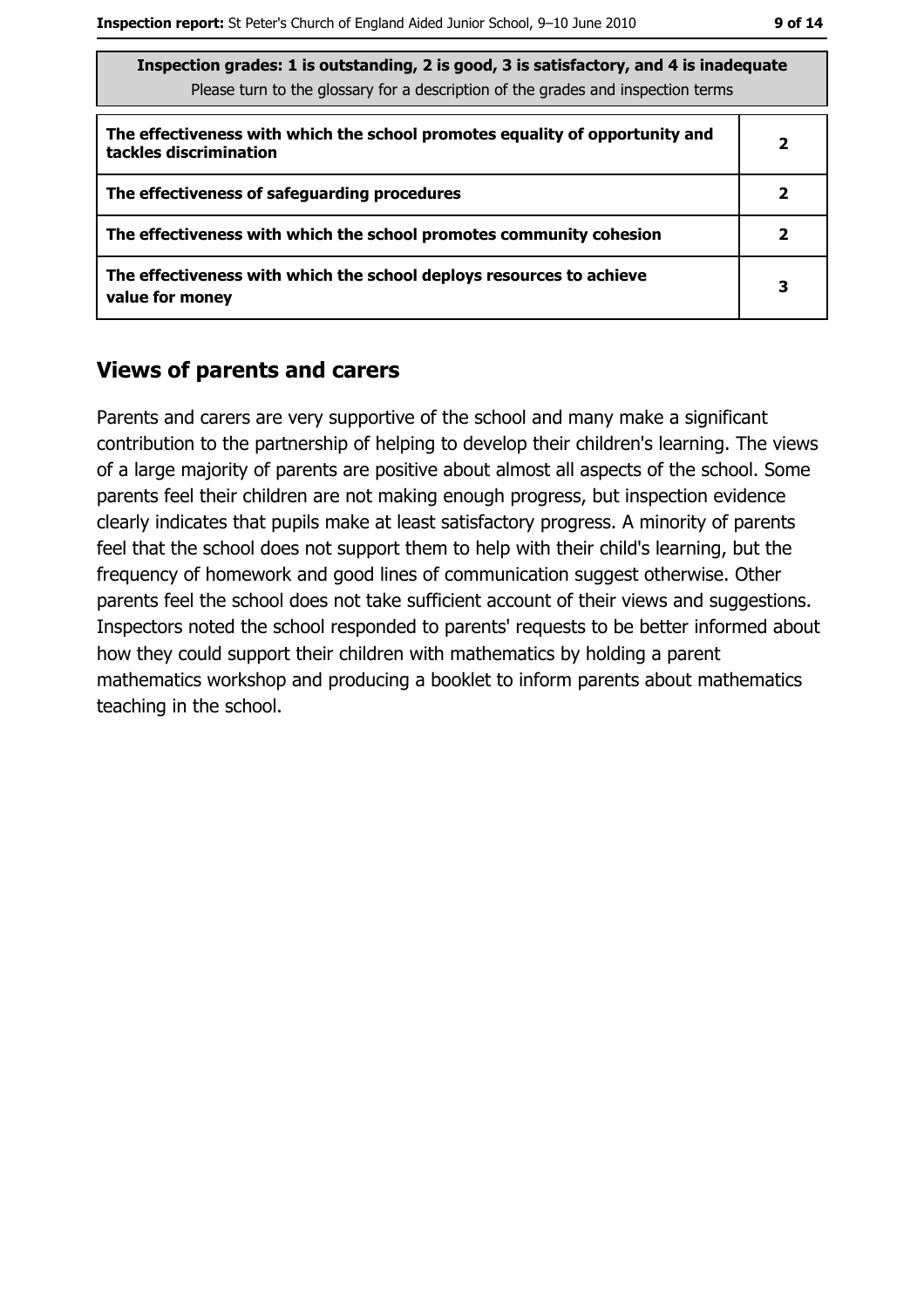$\overline{2}$ 

 $\overline{\mathbf{3}}$ 

| Inspection grades: 1 is outstanding, 2 is good, 3 is satisfactory, and 4 is inadequate<br>Please turn to the glossary for a description of the grades and inspection terms |   |  |
|----------------------------------------------------------------------------------------------------------------------------------------------------------------------------|---|--|
| The effectiveness with which the school promotes equality of opportunity and<br>tackles discrimination                                                                     | , |  |
| The effectiveness of safequarding procedures                                                                                                                               |   |  |

The effectiveness with which the school promotes community cohesion

The effectiveness with which the school deploys resources to achieve value for money

#### **Views of parents and carers**

Parents and carers are very supportive of the school and many make a significant contribution to the partnership of helping to develop their children's learning. The views of a large majority of parents are positive about almost all aspects of the school. Some parents feel their children are not making enough progress, but inspection evidence clearly indicates that pupils make at least satisfactory progress. A minority of parents feel that the school does not support them to help with their child's learning, but the frequency of homework and good lines of communication suggest otherwise. Other parents feel the school does not take sufficient account of their views and suggestions. Inspectors noted the school responded to parents' requests to be better informed about how they could support their children with mathematics by holding a parent mathematics workshop and producing a booklet to inform parents about mathematics teaching in the school.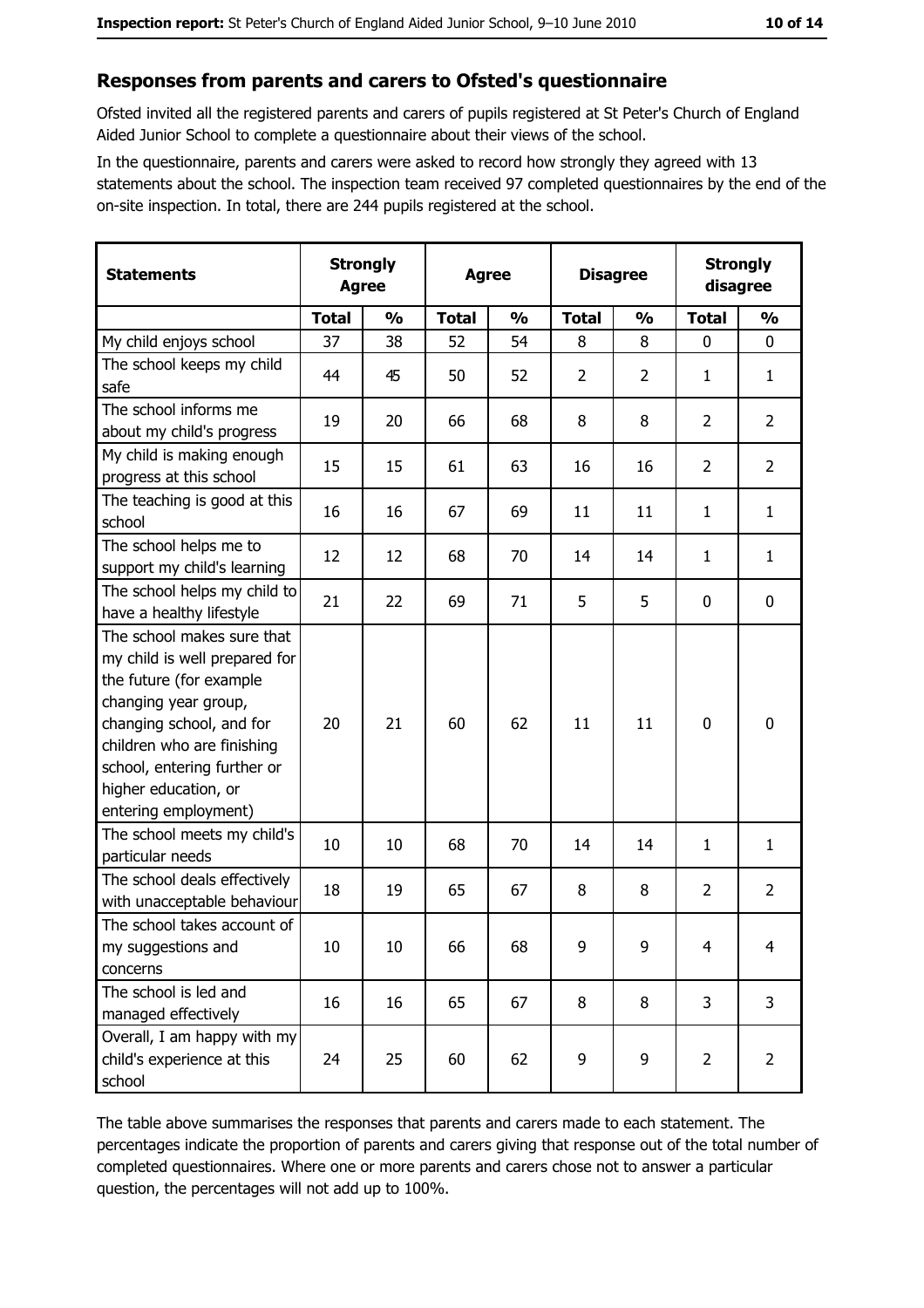#### Responses from parents and carers to Ofsted's questionnaire

Ofsted invited all the registered parents and carers of pupils registered at St Peter's Church of England Aided Junior School to complete a questionnaire about their views of the school.

In the questionnaire, parents and carers were asked to record how strongly they agreed with 13 statements about the school. The inspection team received 97 completed questionnaires by the end of the on-site inspection. In total, there are 244 pupils registered at the school.

| <b>Statements</b>                                                                                                                                                                                                                                       | <b>Strongly</b><br><b>Agree</b> |               | <b>Agree</b> |               |                | <b>Disagree</b> |                | <b>Strongly</b><br>disagree |  |
|---------------------------------------------------------------------------------------------------------------------------------------------------------------------------------------------------------------------------------------------------------|---------------------------------|---------------|--------------|---------------|----------------|-----------------|----------------|-----------------------------|--|
|                                                                                                                                                                                                                                                         | <b>Total</b>                    | $\frac{1}{2}$ | <b>Total</b> | $\frac{0}{0}$ | <b>Total</b>   | $\frac{0}{0}$   | <b>Total</b>   | $\frac{0}{0}$               |  |
| My child enjoys school                                                                                                                                                                                                                                  | 37                              | 38            | 52           | 54            | 8              | 8               | $\mathbf 0$    | $\mathbf 0$                 |  |
| The school keeps my child<br>safe                                                                                                                                                                                                                       | 44                              | 45            | 50           | 52            | $\overline{2}$ | $\overline{2}$  | 1              | $\mathbf{1}$                |  |
| The school informs me<br>about my child's progress                                                                                                                                                                                                      | 19                              | 20            | 66           | 68            | 8              | 8               | $\overline{2}$ | $\overline{2}$              |  |
| My child is making enough<br>progress at this school                                                                                                                                                                                                    | 15                              | 15            | 61           | 63            | 16             | 16              | $\overline{2}$ | $\overline{2}$              |  |
| The teaching is good at this<br>school                                                                                                                                                                                                                  | 16                              | 16            | 67           | 69            | 11             | 11              | 1              | $\mathbf{1}$                |  |
| The school helps me to<br>support my child's learning                                                                                                                                                                                                   | 12                              | 12            | 68           | 70            | 14             | 14              | 1              | $\mathbf{1}$                |  |
| The school helps my child to<br>have a healthy lifestyle                                                                                                                                                                                                | 21                              | 22            | 69           | 71            | 5              | 5               | 0              | $\mathbf 0$                 |  |
| The school makes sure that<br>my child is well prepared for<br>the future (for example<br>changing year group,<br>changing school, and for<br>children who are finishing<br>school, entering further or<br>higher education, or<br>entering employment) | 20                              | 21            | 60           | 62            | 11             | 11              | 0              | $\mathbf 0$                 |  |
| The school meets my child's<br>particular needs                                                                                                                                                                                                         | 10                              | 10            | 68           | 70            | 14             | 14              | 1              | $\mathbf{1}$                |  |
| The school deals effectively<br>with unacceptable behaviour                                                                                                                                                                                             | 18                              | 19            | 65           | 67            | 8              | 8               | $\overline{2}$ | $\overline{2}$              |  |
| The school takes account of<br>my suggestions and<br>concerns                                                                                                                                                                                           | 10                              | 10            | 66           | 68            | 9              | 9               | $\overline{4}$ | $\overline{4}$              |  |
| The school is led and<br>managed effectively                                                                                                                                                                                                            | 16                              | 16            | 65           | 67            | 8              | 8               | 3              | 3                           |  |
| Overall, I am happy with my<br>child's experience at this<br>school                                                                                                                                                                                     | 24                              | 25            | 60           | 62            | 9              | 9               | $\overline{2}$ | $\overline{2}$              |  |

The table above summarises the responses that parents and carers made to each statement. The percentages indicate the proportion of parents and carers giving that response out of the total number of completed questionnaires. Where one or more parents and carers chose not to answer a particular question, the percentages will not add up to 100%.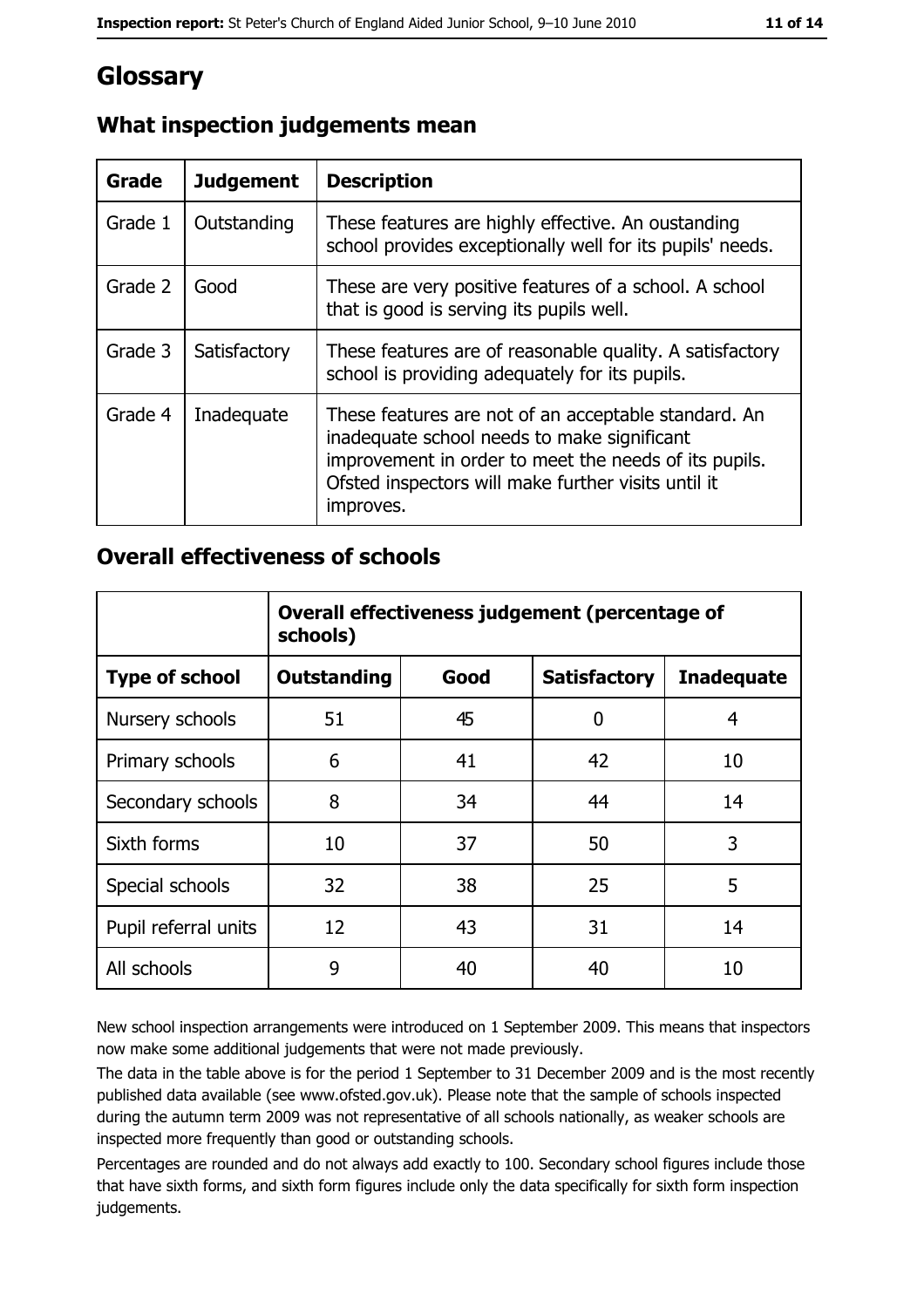# Glossary

| <b>Grade</b> | <b>Judgement</b> | <b>Description</b>                                                                                                                                                                                                               |
|--------------|------------------|----------------------------------------------------------------------------------------------------------------------------------------------------------------------------------------------------------------------------------|
| Grade 1      | Outstanding      | These features are highly effective. An oustanding<br>school provides exceptionally well for its pupils' needs.                                                                                                                  |
| Grade 2      | Good             | These are very positive features of a school. A school<br>that is good is serving its pupils well.                                                                                                                               |
| Grade 3      | Satisfactory     | These features are of reasonable quality. A satisfactory<br>school is providing adequately for its pupils.                                                                                                                       |
| Grade 4      | Inadequate       | These features are not of an acceptable standard. An<br>inadequate school needs to make significant<br>improvement in order to meet the needs of its pupils.<br>Ofsted inspectors will make further visits until it<br>improves. |

## What inspection judgements mean

## **Overall effectiveness of schools**

|                       | Overall effectiveness judgement (percentage of<br>schools) |      |                     |                   |
|-----------------------|------------------------------------------------------------|------|---------------------|-------------------|
| <b>Type of school</b> | <b>Outstanding</b>                                         | Good | <b>Satisfactory</b> | <b>Inadequate</b> |
| Nursery schools       | 51                                                         | 45   | 0                   | 4                 |
| Primary schools       | 6                                                          | 41   | 42                  | 10                |
| Secondary schools     | 8                                                          | 34   | 44                  | 14                |
| Sixth forms           | 10                                                         | 37   | 50                  | 3                 |
| Special schools       | 32                                                         | 38   | 25                  | 5                 |
| Pupil referral units  | 12                                                         | 43   | 31                  | 14                |
| All schools           | 9                                                          | 40   | 40                  | 10                |

New school inspection arrangements were introduced on 1 September 2009. This means that inspectors now make some additional judgements that were not made previously.

The data in the table above is for the period 1 September to 31 December 2009 and is the most recently published data available (see www.ofsted.gov.uk). Please note that the sample of schools inspected during the autumn term 2009 was not representative of all schools nationally, as weaker schools are inspected more frequently than good or outstanding schools.

Percentages are rounded and do not always add exactly to 100. Secondary school figures include those that have sixth forms, and sixth form figures include only the data specifically for sixth form inspection judgements.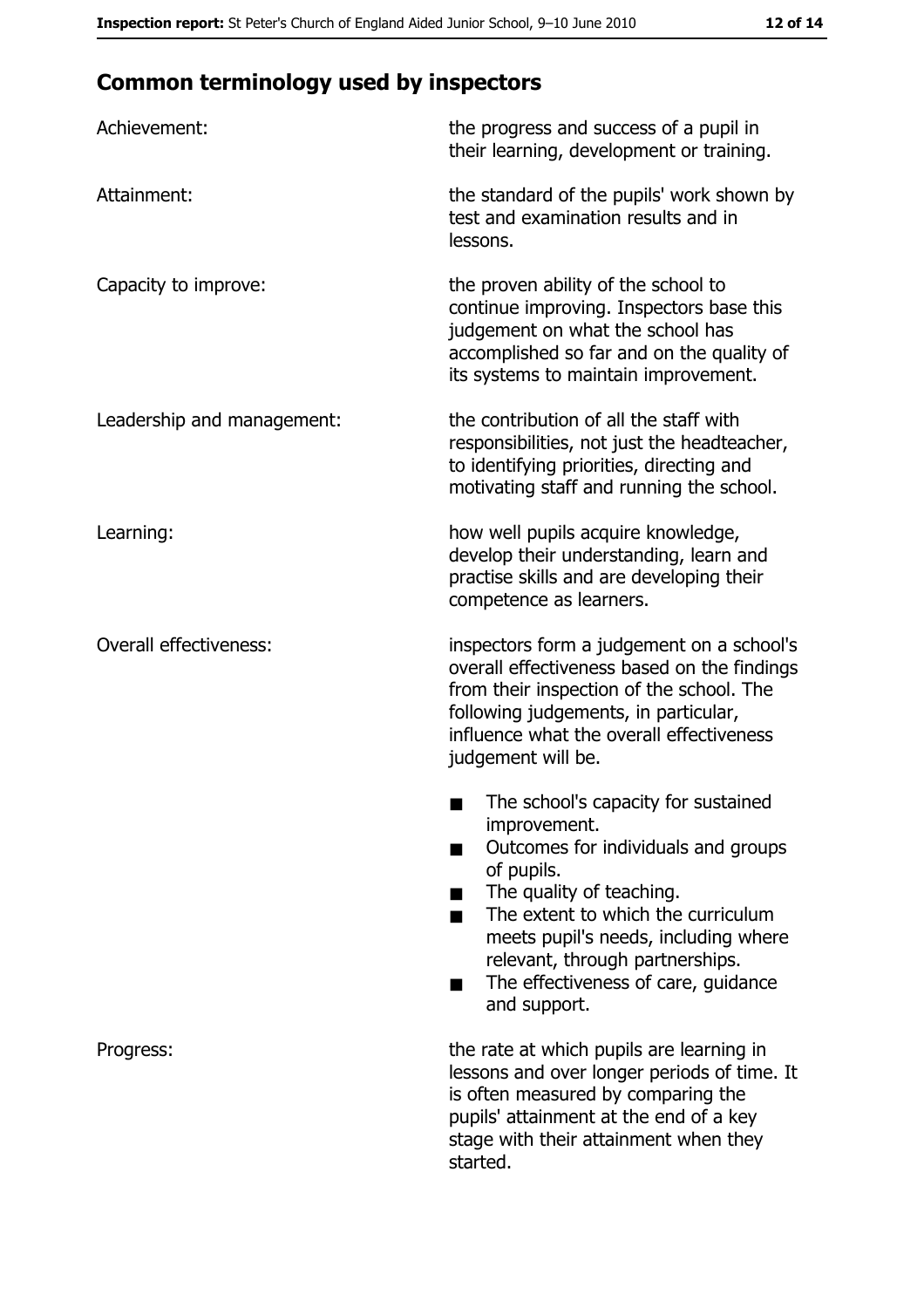# **Common terminology used by inspectors**

| Achievement:                  | the progress and success of a pupil in<br>their learning, development or training.                                                                                                                                                                                                                           |
|-------------------------------|--------------------------------------------------------------------------------------------------------------------------------------------------------------------------------------------------------------------------------------------------------------------------------------------------------------|
| Attainment:                   | the standard of the pupils' work shown by<br>test and examination results and in<br>lessons.                                                                                                                                                                                                                 |
| Capacity to improve:          | the proven ability of the school to<br>continue improving. Inspectors base this<br>judgement on what the school has<br>accomplished so far and on the quality of<br>its systems to maintain improvement.                                                                                                     |
| Leadership and management:    | the contribution of all the staff with<br>responsibilities, not just the headteacher,<br>to identifying priorities, directing and<br>motivating staff and running the school.                                                                                                                                |
| Learning:                     | how well pupils acquire knowledge,<br>develop their understanding, learn and<br>practise skills and are developing their<br>competence as learners.                                                                                                                                                          |
| <b>Overall effectiveness:</b> | inspectors form a judgement on a school's<br>overall effectiveness based on the findings<br>from their inspection of the school. The<br>following judgements, in particular,<br>influence what the overall effectiveness<br>judgement will be.                                                               |
|                               | The school's capacity for sustained<br>improvement.<br>Outcomes for individuals and groups<br>of pupils.<br>The quality of teaching.<br>The extent to which the curriculum<br>meets pupil's needs, including where<br>relevant, through partnerships.<br>The effectiveness of care, guidance<br>and support. |
| Progress:                     | the rate at which pupils are learning in<br>lessons and over longer periods of time. It<br>is often measured by comparing the<br>pupils' attainment at the end of a key<br>stage with their attainment when they<br>started.                                                                                 |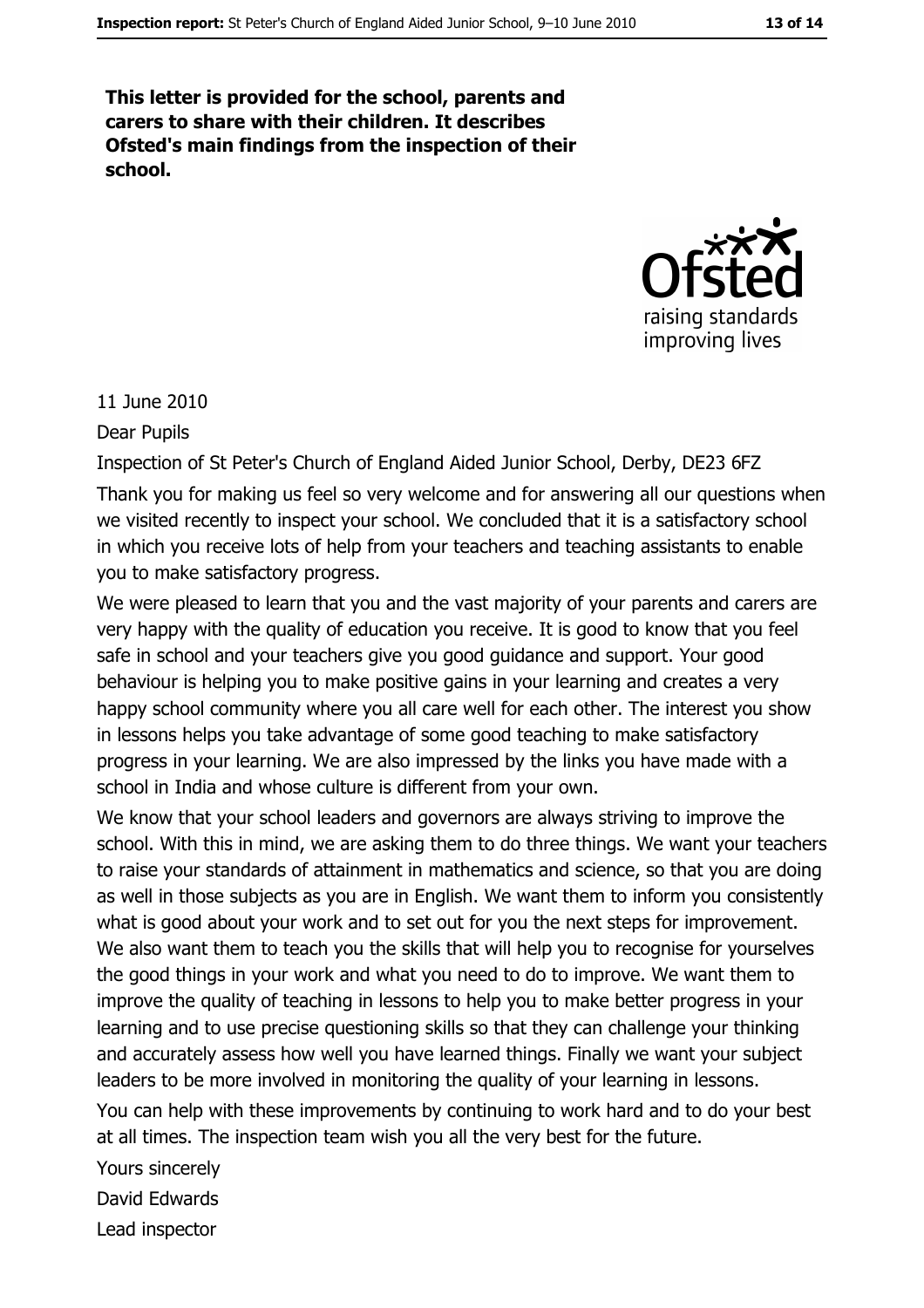This letter is provided for the school, parents and carers to share with their children. It describes Ofsted's main findings from the inspection of their school.



#### 11 June 2010

**Dear Pupils** 

Inspection of St Peter's Church of England Aided Junior School, Derby, DE23 6FZ Thank you for making us feel so very welcome and for answering all our questions when we visited recently to inspect your school. We concluded that it is a satisfactory school in which you receive lots of help from your teachers and teaching assistants to enable you to make satisfactory progress.

We were pleased to learn that you and the vast majority of your parents and carers are very happy with the quality of education you receive. It is good to know that you feel safe in school and your teachers give you good guidance and support. Your good behaviour is helping you to make positive gains in your learning and creates a very happy school community where you all care well for each other. The interest you show in lessons helps you take advantage of some good teaching to make satisfactory progress in your learning. We are also impressed by the links you have made with a school in India and whose culture is different from your own.

We know that your school leaders and governors are always striving to improve the school. With this in mind, we are asking them to do three things. We want your teachers to raise your standards of attainment in mathematics and science, so that you are doing as well in those subjects as you are in English. We want them to inform you consistently what is good about your work and to set out for you the next steps for improvement. We also want them to teach you the skills that will help you to recognise for yourselves the good things in your work and what you need to do to improve. We want them to improve the quality of teaching in lessons to help you to make better progress in your learning and to use precise questioning skills so that they can challenge your thinking and accurately assess how well you have learned things. Finally we want your subject leaders to be more involved in monitoring the quality of your learning in lessons.

You can help with these improvements by continuing to work hard and to do your best at all times. The inspection team wish you all the very best for the future.

Yours sincerely

David Edwards

Lead inspector